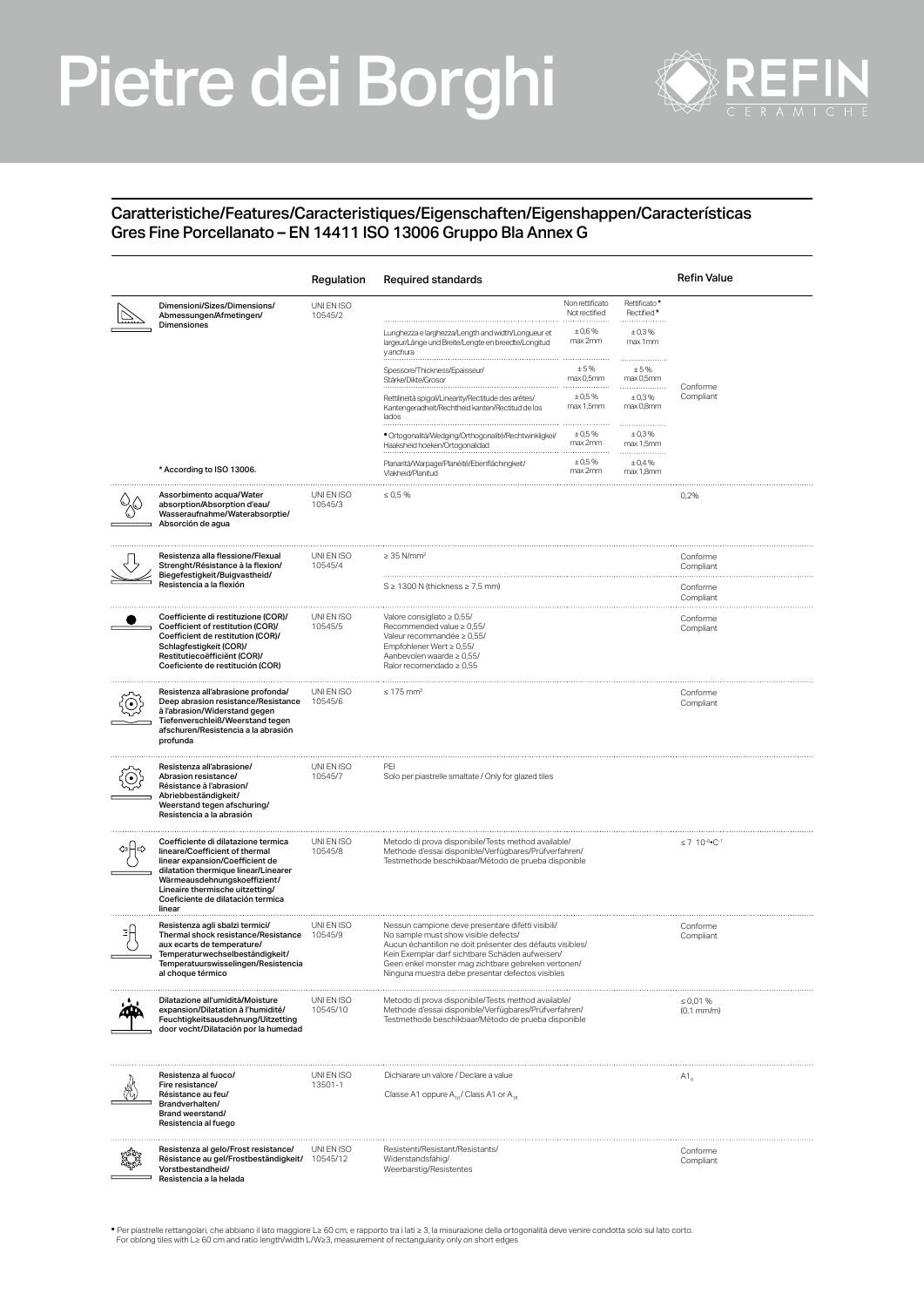## Pietre dei Borghi



## Caratteristiche/Features/Caracteristiques/Eigenschaften/Eigenshappen/Características Gres Fine Porcellanato – EN 14411 ISO 13006 Gruppo Bla Annex G

|                                                                                                                                                                                                                                                                    | Regulation             | Required standards                                                                                                                                                                                                                                                                                                   |                                                      |                                                | Refin Value                                |
|--------------------------------------------------------------------------------------------------------------------------------------------------------------------------------------------------------------------------------------------------------------------|------------------------|----------------------------------------------------------------------------------------------------------------------------------------------------------------------------------------------------------------------------------------------------------------------------------------------------------------------|------------------------------------------------------|------------------------------------------------|--------------------------------------------|
| Dimensioni/Sizes/Dimensions/<br>Abmessungen/Afmetingen/<br>Dimensiones                                                                                                                                                                                             | UNI EN ISO<br>10545/2  | Lunghezza e larghezza/Length and width/Longueur et<br>largeur/Länge und Breite/Lengte en breedte/Longitud                                                                                                                                                                                                            | Non rettificato<br>Not rectified<br>±0,6%<br>max 2mm | Rettificato*<br>Rectified*<br>±0,3%<br>max 1mm |                                            |
|                                                                                                                                                                                                                                                                    |                        | y anchura<br>Spessore/Thickness/Epaisseur.<br>Stärke/Dikte/Grosor                                                                                                                                                                                                                                                    | ±5%<br>max 0,5mm                                     | ± 5%<br>max 0,5mm                              |                                            |
|                                                                                                                                                                                                                                                                    |                        | Rettilineità spigoli/Linearity/Rectitude des arêtes/<br>Kantengeradheit/Rechtheid kanten/Rectitud de los<br>lados                                                                                                                                                                                                    | ± 0.5%<br>max 1,5mm                                  | ±0,3%<br>max 0,8mm                             | Conforme<br>Compliant                      |
|                                                                                                                                                                                                                                                                    |                        | · Ortogonalità/Wedging/Orthogonalité/Rechtwinkligkei/<br>Haaksheid hoeken/Ortogonalidad                                                                                                                                                                                                                              | $± 0.5\%$<br>max 2mm                                 | .<br>±0,3%<br>max 1,5mm                        |                                            |
| * According to ISO 13006.                                                                                                                                                                                                                                          |                        | Planarità/Warpage/Planéité/Ebenflächingkeit<br>Vlakheid/Planitud                                                                                                                                                                                                                                                     | ± 0.5%<br>max 2mm                                    | ± 0,4%<br>max 1,8mm                            |                                            |
| Assorbimento acqua/Water<br>absorption/Absorption d'eau/<br>Wasseraufnahme/Waterabsorptie/<br>Absorción de agua                                                                                                                                                    | UNI EN ISO<br>10545/3  | $\leq 0.5 \%$                                                                                                                                                                                                                                                                                                        |                                                      |                                                | 0,2%                                       |
| Resistenza alla flessione/Flexual<br>Strenght/Résistance à la flexion/<br>Biegefestigkeit/Buigvastheid/<br>Resistencia a la flexión                                                                                                                                | UNI EN ISO<br>10545/4  | $\geq$ 35 N/mm <sup>2</sup>                                                                                                                                                                                                                                                                                          |                                                      |                                                | Conforme<br>Compliant                      |
|                                                                                                                                                                                                                                                                    |                        | $S \geq 1300$ N (thickness $\geq 7.5$ mm)                                                                                                                                                                                                                                                                            |                                                      |                                                | Conforme<br>Compliant                      |
| Coefficiente di restituzione (COR)/<br>Coefficient of restitution (COR)/<br>Coefficient de restitution (COR)/<br>Schlagfestigkeit (COR)/<br>Restitutiecoëfficiënt (COR)/<br>Coeficiente de restitución (COR)                                                       | UNI EN ISO<br>10545/5  | Valore consigliato $\geq 0.55$ /<br>Recommended value $\geq 0.55/$<br>Valeur recommandée ≥ 0,55/<br>Empfohlener Wert ≥ 0,55/<br>Aanbevolen waarde ≥ 0,55/<br>Ralor recomendado ≥ 0,55                                                                                                                                |                                                      |                                                | Conforme<br>Compliant                      |
| Resistenza all'abrasione profonda/<br>Deep abrasion resistance/Resistance<br>à l'abrasion/Widerstand gegen<br>Tiefenverschleiß/Weerstand tegen<br>afschuren/Resistencia a la abrasión<br>profunda                                                                  | UNI EN ISO<br>10545/6  | $\leq 175$ mm <sup>3</sup>                                                                                                                                                                                                                                                                                           |                                                      |                                                | Conforme<br>Compliant                      |
| Resistenza all'abrasione/<br>Abrasion resistance/<br>Résistance à l'abrasion/<br>Abriebbeständigkeit/<br>Weerstand tegen afschuring/<br>Resistencia a la abrasión                                                                                                  | UNI EN ISO<br>10545/7  | PEI<br>Solo per piastrelle smaltate / Only for glazed tiles                                                                                                                                                                                                                                                          |                                                      |                                                |                                            |
| Coefficiente di dilatazione termica<br>lineare/Coefficient of thermal<br>linear expansion/Coefficient de<br>dilatation thermique linear/Linearer<br>Wärmeausdehnungskoeffizient/<br>Lineaire thermische uitzetting/<br>Coeficiente de dilatación termica<br>linear | UNI EN ISO<br>10545/8  | Metodo di prova disponibile/Tests method available/<br>Methode d'essai disponible/Verfügbares/Prüfverfahren/<br>Testmethode beschikbaar/Método de prueba disponible                                                                                                                                                  |                                                      |                                                | $\leq 7$ 10 <sup>-6</sup> °C <sup>-1</sup> |
| Resistenza agli sbalzi termici/<br>Thermal shock resistance/Resistance<br>aux ecarts de temperature/<br>Temperaturwechselbeständigkeit/<br>Temperatuurswisselingen/Resistencia<br>al choque térmico                                                                | UNI EN ISO<br>10545/9  | Nessun campione deve presentare difetti visibili/<br>No sample must show visible defects/<br>Aucun échantillon ne doit présenter des défauts visibles/<br>Kein Exemplar darf sichtbare Schäden aufweisen/<br>Geen enkel monster mag zichtbare gebreken vertonen/<br>Ninguna muestra debe presentar defectos visibles |                                                      | Conforme<br>Compliant                          |                                            |
| Dilatazione all'umidità/Moisture<br>expansion/Dilatation à l'humidité/<br>Feuchtigkeitsausdehnung/Uitzetting<br>door vocht/Dilatación por la humedad                                                                                                               | UNI EN ISO<br>10545/10 | Metodo di prova disponibile/Tests method available/<br>Methode d'essai disponible/Verfügbares/Prüfverfahren/<br>Testmethode beschikbaar/Método de prueba disponible                                                                                                                                                  |                                                      | $\leq 0.01 \%$<br>$(0,1$ mm/m $)$              |                                            |
| Resistenza al fuoco/<br>Fire resistance/<br>Résistance au feu/<br>Brandverhalten/<br>Brand weerstand/<br>Resistencia al fuego                                                                                                                                      | UNI EN ISO<br>13501-1  | Dichiarare un valore / Declare a value<br>Classe A1 oppure A <sub>10</sub> / Class A1 or A <sub>10</sub>                                                                                                                                                                                                             |                                                      | $A1_{a}$                                       |                                            |
| Resistenza al gelo/Frost resistance/<br>Résistance au gel/Frostbeständigkeit/<br>Vorstbestandheid/<br>Resistencia a la helada                                                                                                                                      | UNI EN ISO<br>10545/12 | Resistenti/Resistant/Resistants/<br>Widerstandsfähig/<br>Weerbarstig/Resistentes                                                                                                                                                                                                                                     |                                                      | Conforme<br>Compliant                          |                                            |

.<br>• Per piastrelle rettangolari, che abbiano il lato maggiore L≥ 60 cm, e rapporto tra i lati ≥ 3, la misurazione della ortogonalità deve venire condotta solo sul lato corto<br>For oblong tiles with L≥ 60 cm and ratio length